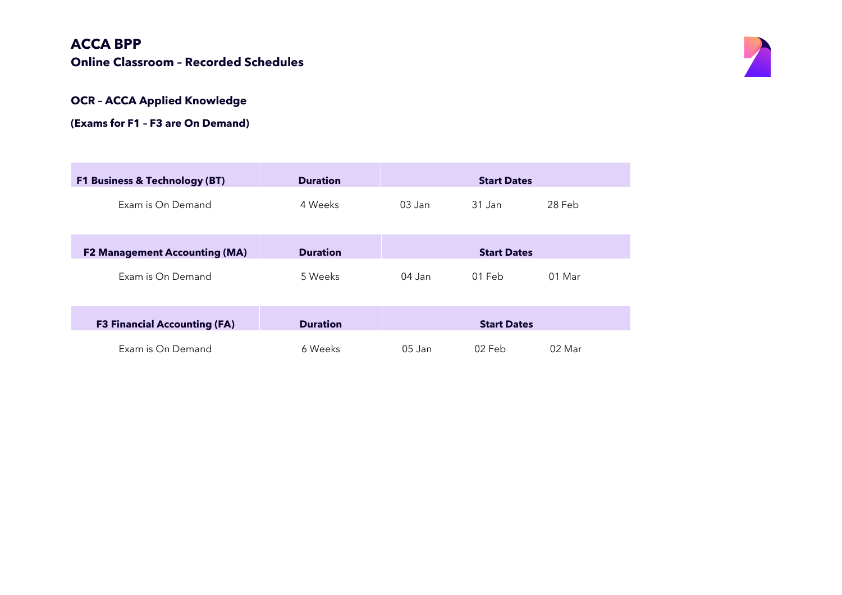## **ACCA BPP Online Classroom – Recorded Schedules**



#### **OCR – ACCA Applied Knowledge**

#### **(Exams for F1 – F3 are On Demand)**

| <b>F1 Business &amp; Technology (BT)</b> | <b>Duration</b> | <b>Start Dates</b> |                    |          |  |
|------------------------------------------|-----------------|--------------------|--------------------|----------|--|
| Exam is On Demand                        | 4 Weeks         | $0.3$ Jan          | 31 Jan             | 28 Feb   |  |
| <b>F2 Management Accounting (MA)</b>     | <b>Duration</b> |                    | <b>Start Dates</b> |          |  |
| Exam is On Demand                        | 5 Weeks         | $04$ Jan           | $01$ Feb           | $01$ Mar |  |
|                                          |                 |                    |                    |          |  |
| <b>F3 Financial Accounting (FA)</b>      | <b>Duration</b> |                    | <b>Start Dates</b> |          |  |
| Exam is On Demand                        | 6 Weeks         | $05$ Jan           | 02 Feb             | 02 Mar   |  |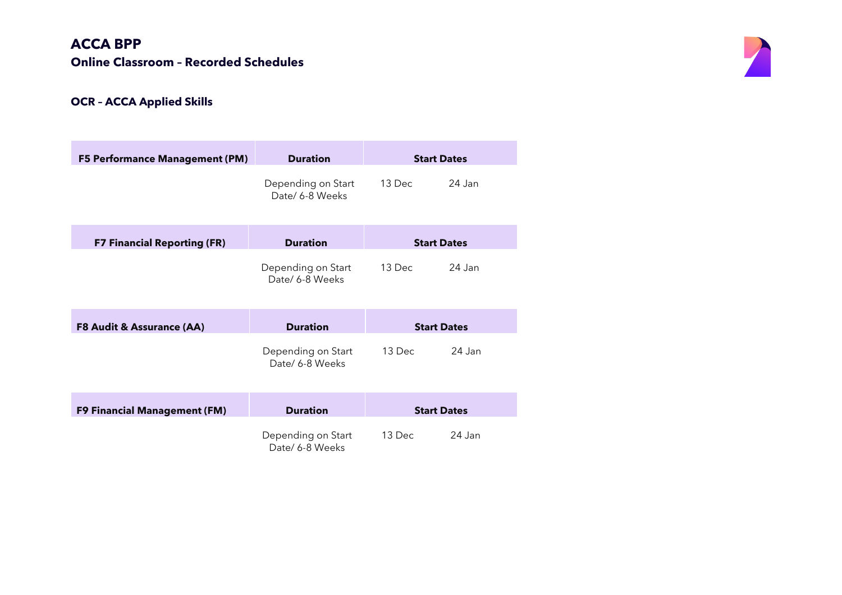## **ACCA BPP Online Classroom – Recorded Schedules**



# **OCR – ACCA Applied Skills**

| <b>F5 Performance Management (PM)</b> | <b>Duration</b>                       | <b>Start Dates</b> |        |
|---------------------------------------|---------------------------------------|--------------------|--------|
|                                       | Depending on Start<br>Date/ 6-8 Weeks | 13 Dec             | 24 Jan |
| <b>F7 Financial Reporting (FR)</b>    | <b>Duration</b>                       | <b>Start Dates</b> |        |
|                                       | Depending on Start<br>Date/ 6-8 Weeks | 13 Dec             | 24 Jan |
| <b>F8 Audit &amp; Assurance (AA)</b>  | <b>Duration</b>                       | <b>Start Dates</b> |        |
|                                       | Depending on Start<br>Date/ 6-8 Weeks | $13 \, \text{Dec}$ | 24 Jan |
| <b>F9 Financial Management (FM)</b>   | <b>Duration</b>                       | <b>Start Dates</b> |        |
|                                       | Depending on Start<br>Date/ 6-8 Weeks | 13 Dec             | 24 Jan |